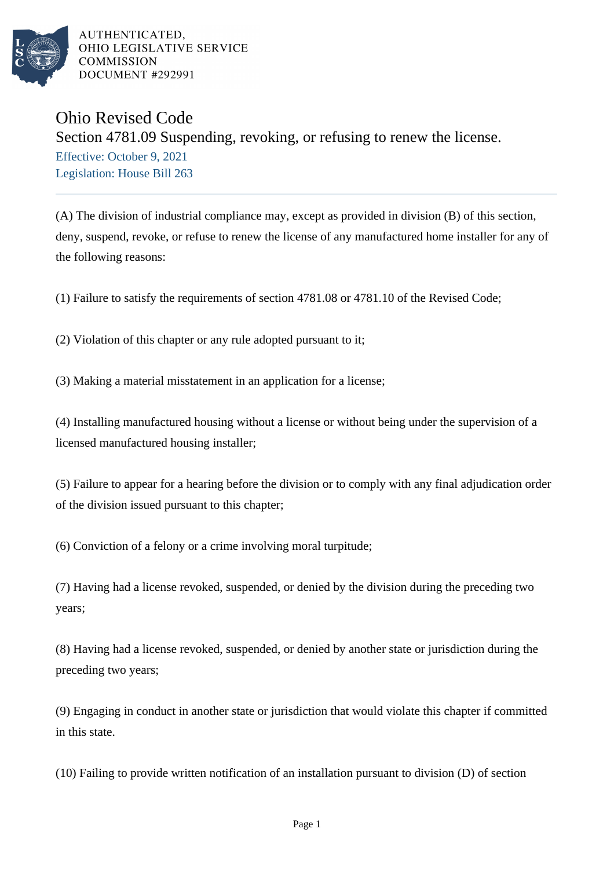

AUTHENTICATED. OHIO LEGISLATIVE SERVICE **COMMISSION DOCUMENT #292991** 

## Ohio Revised Code

## Section 4781.09 Suspending, revoking, or refusing to renew the license.

Effective: October 9, 2021 Legislation: House Bill 263

(A) The division of industrial compliance may, except as provided in division (B) of this section, deny, suspend, revoke, or refuse to renew the license of any manufactured home installer for any of the following reasons:

(1) Failure to satisfy the requirements of section 4781.08 or 4781.10 of the Revised Code;

(2) Violation of this chapter or any rule adopted pursuant to it;

(3) Making a material misstatement in an application for a license;

(4) Installing manufactured housing without a license or without being under the supervision of a licensed manufactured housing installer;

(5) Failure to appear for a hearing before the division or to comply with any final adjudication order of the division issued pursuant to this chapter;

(6) Conviction of a felony or a crime involving moral turpitude;

(7) Having had a license revoked, suspended, or denied by the division during the preceding two years;

(8) Having had a license revoked, suspended, or denied by another state or jurisdiction during the preceding two years;

(9) Engaging in conduct in another state or jurisdiction that would violate this chapter if committed in this state.

(10) Failing to provide written notification of an installation pursuant to division (D) of section